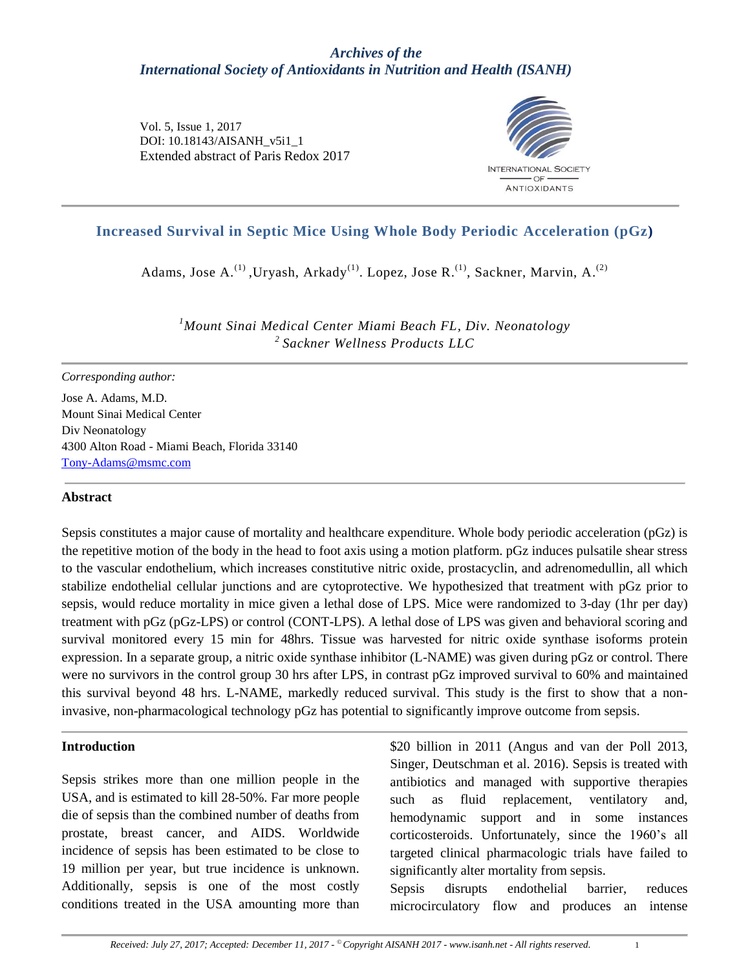## *Archives of the International Society of Antioxidants in Nutrition and Health (ISANH)*

Vol. 5, Issue 1, 2017 DOI: 10.18143/AISANH\_v5i1\_1 Extended abstract of Paris Redox 2017



# **Increased Survival in Septic Mice Using Whole Body Periodic Acceleration (pGz)**

Adams, Jose A.<sup>(1)</sup>, Uryash, Arkady<sup>(1)</sup>. Lopez, Jose R.<sup>(1)</sup>, Sackner, Marvin, A.<sup>(2)</sup>

*<sup>1</sup>Mount Sinai Medical Center Miami Beach FL, Div. Neonatology <sup>2</sup>Sackner Wellness Products LLC*

#### *Corresponding author:*

Jose A. Adams, M.D. Mount Sinai Medical Center Div Neonatology 4300 Alton Road - Miami Beach, Florida 33140 [Tony-Adams@msmc.com](mailto:Tony-Adams@msmc.com)

#### **Abstract**

Sepsis constitutes a major cause of mortality and healthcare expenditure. Whole body periodic acceleration (pGz) is the repetitive motion of the body in the head to foot axis using a motion platform. pGz induces pulsatile shear stress to the vascular endothelium, which increases constitutive nitric oxide, prostacyclin, and adrenomedullin, all which stabilize endothelial cellular junctions and are cytoprotective. We hypothesized that treatment with pGz prior to sepsis, would reduce mortality in mice given a lethal dose of LPS. Mice were randomized to 3-day (1hr per day) treatment with pGz (pGz-LPS) or control (CONT-LPS). A lethal dose of LPS was given and behavioral scoring and survival monitored every 15 min for 48hrs. Tissue was harvested for nitric oxide synthase isoforms protein expression. In a separate group, a nitric oxide synthase inhibitor (L-NAME) was given during pGz or control. There were no survivors in the control group 30 hrs after LPS, in contrast pGz improved survival to 60% and maintained this survival beyond 48 hrs. L-NAME, markedly reduced survival. This study is the first to show that a noninvasive, non-pharmacological technology pGz has potential to significantly improve outcome from sepsis.

#### **Introduction**

Sepsis strikes more than one million people in the USA, and is estimated to kill 28-50%. Far more people die of sepsis than the combined number of deaths from prostate, breast cancer, and AIDS. Worldwide incidence of sepsis has been estimated to be close to 19 million per year, but true incidence is unknown. Additionally, sepsis is one of the most costly conditions treated in the USA amounting more than

\$20 billion in 2011 (Angus and van der Poll 2013, Singer, Deutschman et al. 2016). Sepsis is treated with antibiotics and managed with supportive therapies such as fluid replacement, ventilatory and, hemodynamic support and in some instances corticosteroids. Unfortunately, since the 1960's all targeted clinical pharmacologic trials have failed to significantly alter mortality from sepsis.

Sepsis disrupts endothelial barrier, reduces microcirculatory flow and produces an intense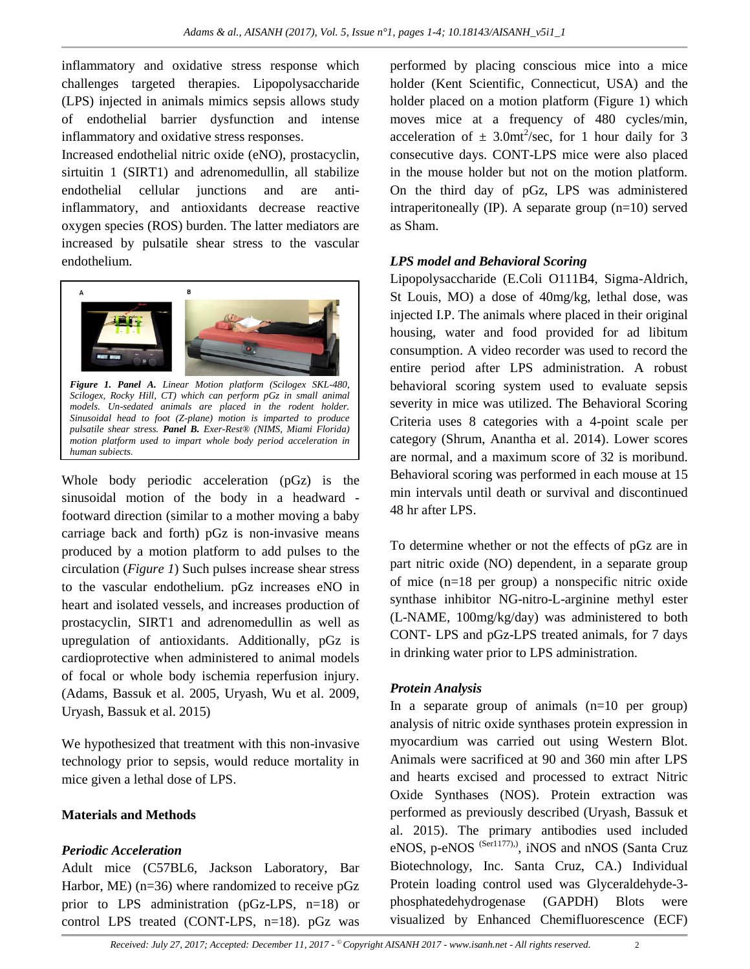inflammatory and oxidative stress response which challenges targeted therapies. Lipopolysaccharide (LPS) injected in animals mimics sepsis allows study of endothelial barrier dysfunction and intense inflammatory and oxidative stress responses.

Increased endothelial nitric oxide (eNO), prostacyclin, sirtuitin 1 (SIRT1) and adrenomedullin, all stabilize endothelial cellular junctions and are antiinflammatory, and antioxidants decrease reactive oxygen species (ROS) burden. The latter mediators are increased by pulsatile shear stress to the vascular endothelium.



*Figure 1. Panel A. Linear Motion platform (Scilogex SKL-480, Scilogex, Rocky Hill, CT) which can perform pGz in small animal models. Un-sedated animals are placed in the rodent holder. Sinusoidal head to foot (Z-plane) motion is imparted to produce pulsatile shear stress. Panel B. Exer-Rest® (NIMS, Miami Florida) motion platform used to impart whole body period acceleration in human subjects.*

Whole body periodic acceleration (pGz) is the sinusoidal motion of the body in a headward footward direction (similar to a mother moving a baby carriage back and forth) pGz is non-invasive means produced by a motion platform to add pulses to the circulation (*Figure 1*) Such pulses increase shear stress to the vascular endothelium. pGz increases eNO in heart and isolated vessels, and increases production of prostacyclin, SIRT1 and adrenomedullin as well as upregulation of antioxidants. Additionally, pGz is cardioprotective when administered to animal models of focal or whole body ischemia reperfusion injury. (Adams, Bassuk et al. 2005, Uryash, Wu et al. 2009, Uryash, Bassuk et al. 2015)

We hypothesized that treatment with this non-invasive technology prior to sepsis, would reduce mortality in mice given a lethal dose of LPS.

## **Materials and Methods**

## *Periodic Acceleration*

Adult mice (C57BL6, Jackson Laboratory, Bar Harbor, ME) (n=36) where randomized to receive pGz prior to LPS administration (pGz-LPS, n=18) or control LPS treated (CONT-LPS, n=18). pGz was

performed by placing conscious mice into a mice holder (Kent Scientific, Connecticut, USA) and the holder placed on a motion platform (Figure 1) which moves mice at a frequency of 480 cycles/min, acceleration of  $\pm$  3.0mt<sup>2</sup>/sec, for 1 hour daily for 3 consecutive days. CONT-LPS mice were also placed in the mouse holder but not on the motion platform. On the third day of pGz, LPS was administered intraperitoneally (IP). A separate group (n=10) served as Sham.

#### *LPS model and Behavioral Scoring*

Lipopolysaccharide (E.Coli O111B4, Sigma-Aldrich, St Louis, MO) a dose of 40mg/kg, lethal dose, was injected I.P. The animals where placed in their original housing, water and food provided for ad libitum consumption. A video recorder was used to record the entire period after LPS administration. A robust behavioral scoring system used to evaluate sepsis severity in mice was utilized. The Behavioral Scoring Criteria uses 8 categories with a 4-point scale per category (Shrum, Anantha et al. 2014). Lower scores are normal, and a maximum score of 32 is moribund. Behavioral scoring was performed in each mouse at 15 min intervals until death or survival and discontinued 48 hr after LPS.

To determine whether or not the effects of pGz are in part nitric oxide (NO) dependent, in a separate group of mice (n=18 per group) a nonspecific nitric oxide synthase inhibitor NG-nitro-L-arginine methyl ester (L-NAME, 100mg/kg/day) was administered to both CONT- LPS and pGz-LPS treated animals, for 7 days in drinking water prior to LPS administration.

## *Protein Analysis*

In a separate group of animals  $(n=10$  per group) analysis of nitric oxide synthases protein expression in myocardium was carried out using Western Blot. Animals were sacrificed at 90 and 360 min after LPS and hearts excised and processed to extract Nitric Oxide Synthases (NOS). Protein extraction was performed as previously described (Uryash, Bassuk et al. 2015). The primary antibodies used included eNOS, p-eNOS<sup> (Ser1177).)</sup>, iNOS and nNOS (Santa Cruz Biotechnology, Inc. Santa Cruz, CA.) Individual Protein loading control used was Glyceraldehyde-3 phosphatedehydrogenase (GAPDH) Blots were visualized by Enhanced Chemifluorescence (ECF)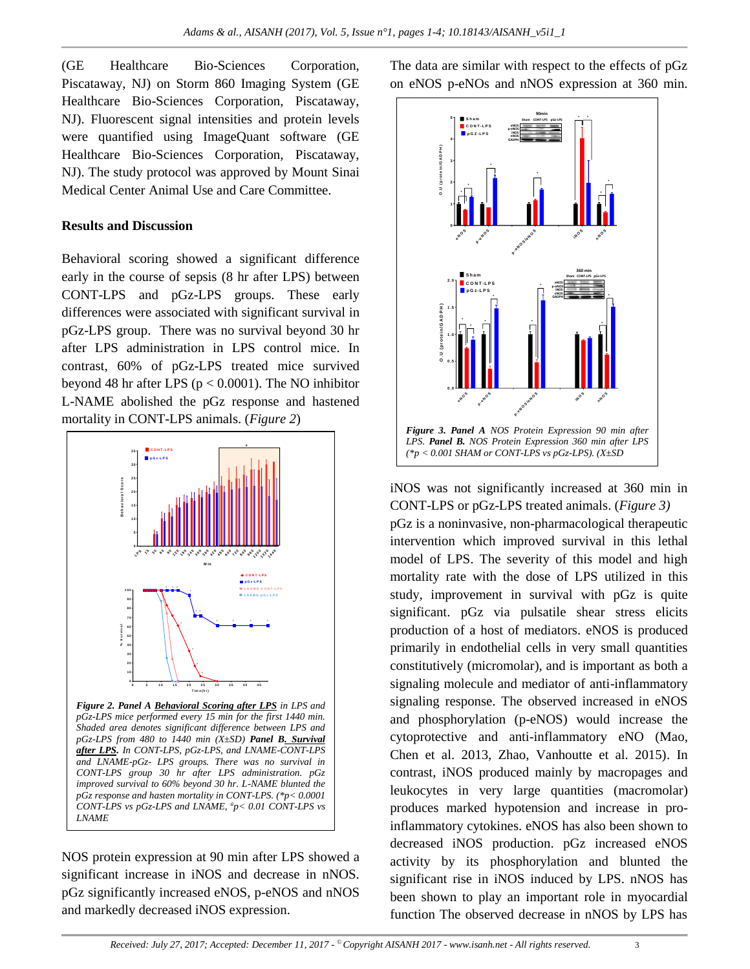(GE Healthcare Bio-Sciences Corporation, Piscataway, NJ) on Storm 860 Imaging System (GE Healthcare Bio-Sciences Corporation, Piscataway, NJ). Fluorescent signal intensities and protein levels were quantified using ImageQuant software (GE Healthcare Bio-Sciences Corporation, Piscataway, NJ). The study protocol was approved by Mount Sinai Medical Center Animal Use and Care Committee.

#### **Results and Discussion**

Behavioral scoring showed a significant difference early in the course of sepsis (8 hr after LPS) between CONT-LPS and pGz-LPS groups. These early differences were associated with significant survival in pGz-LPS group. There was no survival beyond 30 hr after LPS administration in LPS control mice. In contrast, 60% of pGz-LPS treated mice survived beyond 48 hr after LPS ( $p < 0.0001$ ). The NO inhibitor L-NAME abolished the pGz response and hastened mortality in CONT-LPS animals. (*Figure 2*)



*after LPS. In CONT-LPS, pGz-LPS, and LNAME-CONT-LPS and LNAME-pGz- LPS groups. There was no survival in CONT-LPS group 30 hr after LPS administration. pGz improved survival to 60% beyond 30 hr. L-NAME blunted the pGz response and hasten mortality in CONT-LPS. (\*p< 0.0001 CONT-LPS vs pGz-LPS and LNAME, <sup>a</sup> p< 0.01 CONT-LPS vs LNAME*

NOS protein expression at 90 min after LPS showed a significant increase in iNOS and decrease in nNOS. pGz significantly increased eNOS, p-eNOS and nNOS and markedly decreased iNOS expression.

The data are similar with respect to the effects of pGz on eNOS p-eNOs and nNOS expression at 360 min.



iNOS was not significantly increased at 360 min in CONT-LPS or pGz-LPS treated animals. (*Figure 3)* pGz is a noninvasive, non-pharmacological therapeutic intervention which improved survival in this lethal model of LPS. The severity of this model and high mortality rate with the dose of LPS utilized in this study, improvement in survival with pGz is quite significant. pGz via pulsatile shear stress elicits production of a host of mediators. eNOS is produced primarily in endothelial cells in very small quantities constitutively (micromolar), and is important as both a signaling molecule and mediator of anti-inflammatory signaling response. The observed increased in eNOS and phosphorylation (p-eNOS) would increase the cytoprotective and anti-inflammatory eNO (Mao, Chen et al. 2013, Zhao, Vanhoutte et al. 2015). In contrast, iNOS produced mainly by macropages and leukocytes in very large quantities (macromolar) produces marked hypotension and increase in proinflammatory cytokines. eNOS has also been shown to decreased iNOS production. pGz increased eNOS activity by its phosphorylation and blunted the significant rise in iNOS induced by LPS. nNOS has been shown to play an important role in myocardial function The observed decrease in nNOS by LPS has